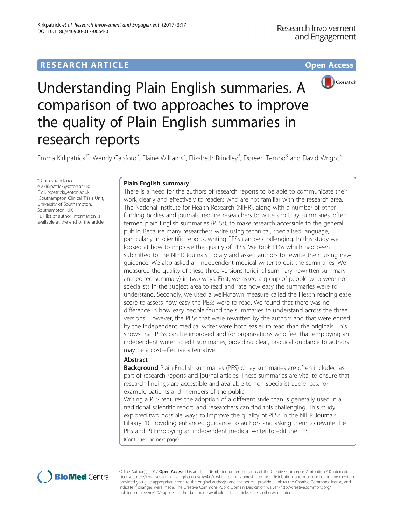# **RESEARCH ARTICLE Example 2014 12:30 The Contract of Contract ACCESS**



Understanding Plain English summaries. A comparison of two approaches to improve the quality of Plain English summaries in research reports

Emma Kirkpatrick<sup>1\*</sup>, Wendy Gaisford<sup>2</sup>, Elaine Williams<sup>3</sup>, Elizabeth Brindley<sup>3</sup>, Doreen Tembo<sup>3</sup> and David Wright<sup>3</sup>

\* Correspondence: [e.v.kirkpatrick@soton.ac.uk](mailto:e.v.kirkpatrick@soton.ac.uk); [E.V.Kirkpatrick@soton.ac.uk](mailto:E.V.Kirkpatrick@soton.ac.uk) <sup>1</sup>Southampton Clinical Trials Unit, University of Southampton, Southampton, UK Full list of author information is available at the end of the article

## Plain English summary

There is a need for the authors of research reports to be able to communicate their work clearly and effectively to readers who are not familiar with the research area. The National Institute for Health Research (NIHR), along with a number of other funding bodies and journals, require researchers to write short lay summaries, often termed plain English summaries (PESs), to make research accessible to the general public. Because many researchers write using technical, specialised language, particularly in scientific reports, writing PESs can be challenging. In this study we looked at how to improve the quality of PESs. We took PESs which had been submitted to the NIHR Journals Library and asked authors to rewrite them using new guidance. We also asked an independent medical writer to edit the summaries. We measured the quality of these three versions (original summary, rewritten summary and edited summary) in two ways. First, we asked a group of people who were not specialists in the subject area to read and rate how easy the summaries were to understand. Secondly, we used a well-known measure called the Flesch reading ease score to assess how easy the PESs were to read. We found that there was no difference in how easy people found the summaries to understand across the three versions. However, the PESs that were rewritten by the authors and that were edited by the independent medical writer were both easier to read than the originals. This shows that PESs can be improved and for organisations who feel that employing an independent writer to edit summaries, providing clear, practical guidance to authors may be a cost-effective alternative.

## Abstract

**Background** Plain English summaries (PES) or lay summaries are often included as part of research reports and journal articles. These summaries are vital to ensure that research findings are accessible and available to non-specialist audiences, for example patients and members of the public.

Writing a PES requires the adoption of a different style than is generally used in a traditional scientific report, and researchers can find this challenging. This study explored two possible ways to improve the quality of PESs in the NIHR Journals Library: 1) Providing enhanced guidance to authors and asking them to rewrite the PES and 2) Employing an independent medical writer to edit the PES. (Continued on next page)



© The Author(s). 2017 Open Access This article is distributed under the terms of the Creative Commons Attribution 4.0 International License ([http://creativecommons.org/licenses/by/4.0/\)](http://creativecommons.org/licenses/by/4.0/), which permits unrestricted use, distribution, and reproduction in any medium, provided you give appropriate credit to the original author(s) and the source, provide a link to the Creative Commons license, and indicate if changes were made. The Creative Commons Public Domain Dedication waiver ([http://creativecommons.org/](http://creativecommons.org/publicdomain/zero/1.0/) [publicdomain/zero/1.0/\)](http://creativecommons.org/publicdomain/zero/1.0/) applies to the data made available in this article, unless otherwise stated.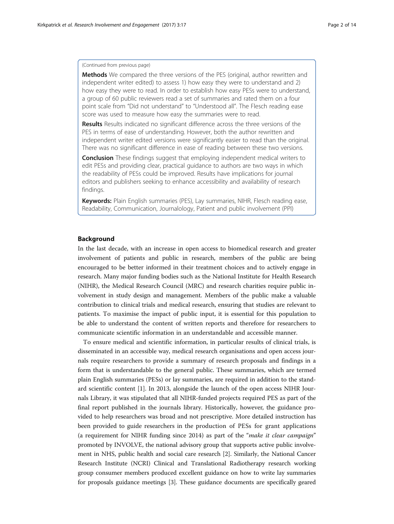## (Continued from previous page)

**Methods** We compared the three versions of the PES (original, author rewritten and independent writer edited) to assess 1) how easy they were to understand and 2) how easy they were to read. In order to establish how easy PESs were to understand, a group of 60 public reviewers read a set of summaries and rated them on a four point scale from "Did not understand" to "Understood all". The Flesch reading ease score was used to measure how easy the summaries were to read.

Results Results indicated no significant difference across the three versions of the PES in terms of ease of understanding. However, both the author rewritten and independent writer edited versions were significantly easier to read than the original. There was no significant difference in ease of reading between these two versions.

**Conclusion** These findings suggest that employing independent medical writers to edit PESs and providing clear, practical guidance to authors are two ways in which the readability of PESs could be improved. Results have implications for journal editors and publishers seeking to enhance accessibility and availability of research findings.

Keywords: Plain English summaries (PES), Lay summaries, NIHR, Flesch reading ease, Readability, Communication, Journalology, Patient and public involvement (PPI)

## Background

In the last decade, with an increase in open access to biomedical research and greater involvement of patients and public in research, members of the public are being encouraged to be better informed in their treatment choices and to actively engage in research. Many major funding bodies such as the National Institute for Health Research (NIHR), the Medical Research Council (MRC) and research charities require public involvement in study design and management. Members of the public make a valuable contribution to clinical trials and medical research, ensuring that studies are relevant to patients. To maximise the impact of public input, it is essential for this population to be able to understand the content of written reports and therefore for researchers to communicate scientific information in an understandable and accessible manner.

To ensure medical and scientific information, in particular results of clinical trials, is disseminated in an accessible way, medical research organisations and open access journals require researchers to provide a summary of research proposals and findings in a form that is understandable to the general public. These summaries, which are termed plain English summaries (PESs) or lay summaries, are required in addition to the standard scientific content [\[1](#page-12-0)]. In 2013, alongside the launch of the open access NIHR Journals Library, it was stipulated that all NIHR-funded projects required PES as part of the final report published in the journals library. Historically, however, the guidance provided to help researchers was broad and not prescriptive. More detailed instruction has been provided to guide researchers in the production of PESs for grant applications (a requirement for NIHR funding since 2014) as part of the "make it clear campaign" promoted by INVOLVE, the national advisory group that supports active public involvement in NHS, public health and social care research [\[2\]](#page-12-0). Similarly, the National Cancer Research Institute (NCRI) Clinical and Translational Radiotherapy research working group consumer members produced excellent guidance on how to write lay summaries for proposals guidance meetings [[3\]](#page-12-0). These guidance documents are specifically geared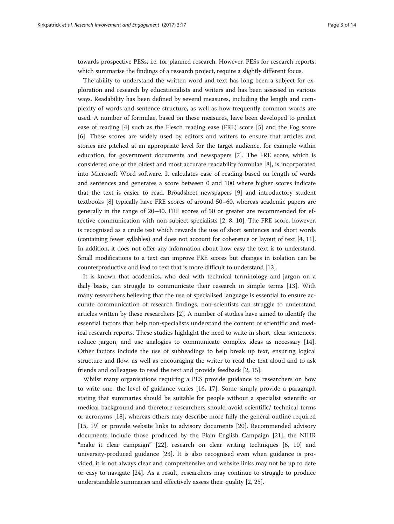towards prospective PESs, i.e. for planned research. However, PESs for research reports, which summarise the findings of a research project, require a slightly different focus.

The ability to understand the written word and text has long been a subject for exploration and research by educationalists and writers and has been assessed in various ways. Readability has been defined by several measures, including the length and complexity of words and sentence structure, as well as how frequently common words are used. A number of formulae, based on these measures, have been developed to predict ease of reading [[4](#page-12-0)] such as the Flesch reading ease (FRE) score [\[5](#page-12-0)] and the Fog score [[6\]](#page-12-0). These scores are widely used by editors and writers to ensure that articles and stories are pitched at an appropriate level for the target audience, for example within education, for government documents and newspapers [[7\]](#page-12-0). The FRE score, which is considered one of the oldest and most accurate readability formulae [[8\]](#page-12-0), is incorporated into Microsoft Word software. It calculates ease of reading based on length of words and sentences and generates a score between 0 and 100 where higher scores indicate that the text is easier to read. Broadsheet newspapers [\[9](#page-12-0)] and introductory student textbooks [[8\]](#page-12-0) typically have FRE scores of around 50–60, whereas academic papers are generally in the range of 20–40. FRE scores of 50 or greater are recommended for effective communication with non-subject-specialists [[2](#page-12-0), [8, 10](#page-12-0)]. The FRE score, however, is recognised as a crude test which rewards the use of short sentences and short words (containing fewer syllables) and does not account for coherence or layout of text [[4](#page-12-0), [11](#page-12-0)]. In addition, it does not offer any information about how easy the text is to understand. Small modifications to a text can improve FRE scores but changes in isolation can be counterproductive and lead to text that is more difficult to understand [\[12\]](#page-12-0).

It is known that academics, who deal with technical terminology and jargon on a daily basis, can struggle to communicate their research in simple terms [[13\]](#page-12-0). With many researchers believing that the use of specialised language is essential to ensure accurate communication of research findings, non-scientists can struggle to understand articles written by these researchers [\[2](#page-12-0)]. A number of studies have aimed to identify the essential factors that help non-specialists understand the content of scientific and medical research reports. These studies highlight the need to write in short, clear sentences, reduce jargon, and use analogies to communicate complex ideas as necessary [[14](#page-12-0)]. Other factors include the use of subheadings to help break up text, ensuring logical structure and flow, as well as encouraging the writer to read the text aloud and to ask friends and colleagues to read the text and provide feedback [[2](#page-12-0), [15](#page-12-0)].

Whilst many organisations requiring a PES provide guidance to researchers on how to write one, the level of guidance varies [[16, 17\]](#page-12-0). Some simply provide a paragraph stating that summaries should be suitable for people without a specialist scientific or medical background and therefore researchers should avoid scientific/ technical terms or acronyms [[18](#page-12-0)], whereas others may describe more fully the general outline required [[15, 19](#page-12-0)] or provide website links to advisory documents [\[20\]](#page-12-0). Recommended advisory documents include those produced by the Plain English Campaign [\[21](#page-12-0)], the NIHR "make it clear campaign" [[22](#page-12-0)], research on clear writing techniques [\[6](#page-12-0), [10](#page-12-0)] and university-produced guidance [\[23\]](#page-12-0). It is also recognised even when guidance is provided, it is not always clear and comprehensive and website links may not be up to date or easy to navigate [\[24](#page-12-0)]. As a result, researchers may continue to struggle to produce understandable summaries and effectively assess their quality [[2](#page-12-0), [25](#page-12-0)].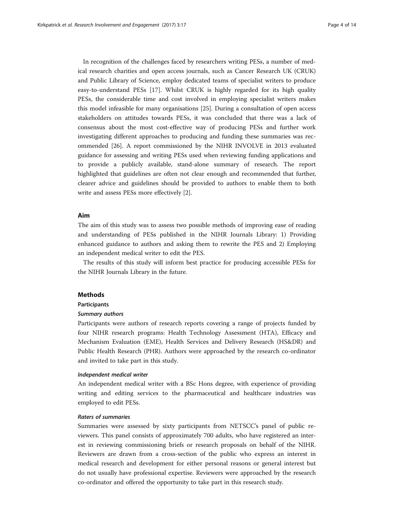In recognition of the challenges faced by researchers writing PESs, a number of medical research charities and open access journals, such as Cancer Research UK (CRUK) and Public Library of Science, employ dedicated teams of specialist writers to produce easy-to-understand PESs [\[17](#page-12-0)]. Whilst CRUK is highly regarded for its high quality PESs, the considerable time and cost involved in employing specialist writers makes this model infeasible for many organisations [\[25](#page-12-0)]. During a consultation of open access stakeholders on attitudes towards PESs, it was concluded that there was a lack of consensus about the most cost-effective way of producing PESs and further work investigating different approaches to producing and funding these summaries was recommended [\[26](#page-12-0)]. A report commissioned by the NIHR INVOLVE in 2013 evaluated guidance for assessing and writing PESs used when reviewing funding applications and to provide a publicly available, stand-alone summary of research. The report highlighted that guidelines are often not clear enough and recommended that further, clearer advice and guidelines should be provided to authors to enable them to both write and assess PESs more effectively [\[2\]](#page-12-0).

## Aim

The aim of this study was to assess two possible methods of improving ease of reading and understanding of PESs published in the NIHR Journals Library: 1) Providing enhanced guidance to authors and asking them to rewrite the PES and 2) Employing an independent medical writer to edit the PES.

The results of this study will inform best practice for producing accessible PESs for the NIHR Journals Library in the future.

### Methods

## Participants

## Summary authors

Participants were authors of research reports covering a range of projects funded by four NIHR research programs: Health Technology Assessment (HTA), Efficacy and Mechanism Evaluation (EME), Health Services and Delivery Research (HS&DR) and Public Health Research (PHR). Authors were approached by the research co-ordinator and invited to take part in this study.

## Independent medical writer

An independent medical writer with a BSc Hons degree, with experience of providing writing and editing services to the pharmaceutical and healthcare industries was employed to edit PESs.

### Raters of summaries

Summaries were assessed by sixty participants from NETSCC's panel of public reviewers. This panel consists of approximately 700 adults, who have registered an interest in reviewing commissioning briefs or research proposals on behalf of the NIHR. Reviewers are drawn from a cross-section of the public who express an interest in medical research and development for either personal reasons or general interest but do not usually have professional expertise. Reviewers were approached by the research co-ordinator and offered the opportunity to take part in this research study.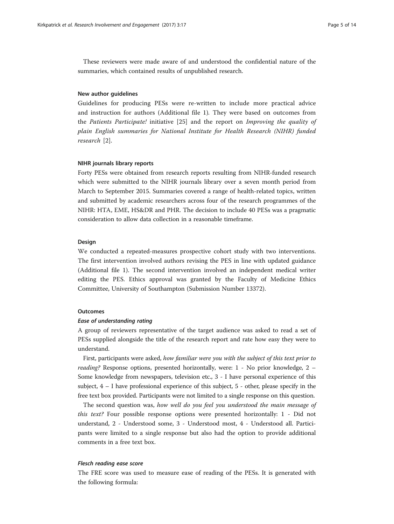These reviewers were made aware of and understood the confidential nature of the summaries, which contained results of unpublished research.

#### New author guidelines

Guidelines for producing PESs were re-written to include more practical advice and instruction for authors (Additional file [1\)](#page-11-0). They were based on outcomes from the Patients Participate! initiative [\[25](#page-12-0)] and the report on Improving the quality of plain English summaries for National Institute for Health Research (NIHR) funded research [\[2](#page-12-0)].

#### NIHR journals library reports

Forty PESs were obtained from research reports resulting from NIHR-funded research which were submitted to the NIHR journals library over a seven month period from March to September 2015. Summaries covered a range of health-related topics, written and submitted by academic researchers across four of the research programmes of the NIHR: HTA, EME, HS&DR and PHR. The decision to include 40 PESs was a pragmatic consideration to allow data collection in a reasonable timeframe.

### Design

We conducted a repeated-measures prospective cohort study with two interventions. The first intervention involved authors revising the PES in line with updated guidance (Additional file [1](#page-11-0)). The second intervention involved an independent medical writer editing the PES. Ethics approval was granted by the Faculty of Medicine Ethics Committee, University of Southampton (Submission Number 13372).

## **Outcomes**

#### Ease of understanding rating

A group of reviewers representative of the target audience was asked to read a set of PESs supplied alongside the title of the research report and rate how easy they were to understand.

First, participants were asked, how familiar were you with the subject of this text prior to reading? Response options, presented horizontally, were: 1 - No prior knowledge, 2 – Some knowledge from newspapers, television etc., 3 - I have personal experience of this subject,  $4 - I$  have professional experience of this subject,  $5 -$  other, please specify in the free text box provided. Participants were not limited to a single response on this question.

The second question was, how well do you feel you understood the main message of this text? Four possible response options were presented horizontally: 1 - Did not understand, 2 - Understood some, 3 - Understood most, 4 - Understood all. Participants were limited to a single response but also had the option to provide additional comments in a free text box.

### Flesch reading ease score

The FRE score was used to measure ease of reading of the PESs. It is generated with the following formula: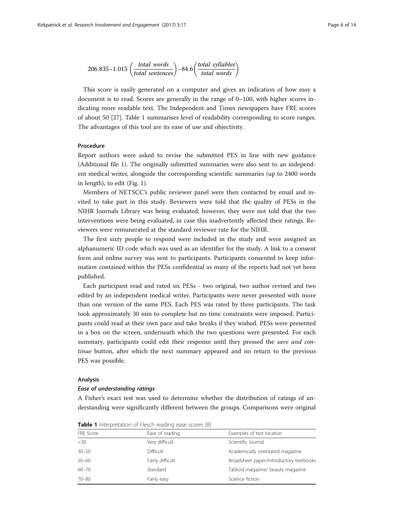$$
206.835 - 1.015 \left(\frac{total\ words}{total\ sentences}\right) - 84.6 \left(\frac{total\ syllables}{total\ words}\right)
$$

This score is easily generated on a computer and gives an indication of how easy a document is to read. Scores are generally in the range of 0–100, with higher scores indicating more readable text. The Independent and Times newspapers have FRE scores of about 50 [[27\]](#page-12-0). Table 1 summarises level of readability corresponding to score ranges. The advantages of this tool are its ease of use and objectivity.

## Procedure

Report authors were asked to revise the submitted PES in line with new guidance (Additional file [1\)](#page-11-0). The originally submitted summaries were also sent to an independent medical writer, alongside the corresponding scientific summaries (up to 2400 words in length), to edit (Fig. [1](#page-6-0)).

Members of NETSCC's public reviewer panel were then contacted by email and invited to take part in this study. Reviewers were told that the quality of PESs in the NIHR Journals Library was being evaluated; however, they were not told that the two interventions were being evaluated, in case this inadvertently affected their ratings. Reviewers were remunerated at the standard reviewer rate for the NIHR.

The first sixty people to respond were included in the study and were assigned an alphanumeric ID code which was used as an identifier for the study. A link to a consent form and online survey was sent to participants. Participants consented to keep information contained within the PESs confidential as many of the reports had not yet been published.

Each participant read and rated six PESs - two original, two author revised and two edited by an independent medical writer. Participants were never presented with more than one version of the same PES. Each PES was rated by three participants. The task took approximately 30 min to complete but no time constraints were imposed. Participants could read at their own pace and take breaks if they wished. PESs were presented in a box on the screen, underneath which the two questions were presented. For each summary, participants could edit their response until they pressed the save and continue button, after which the next summary appeared and no return to the previous PES was possible.

#### Analysis

#### Ease of understanding ratings

A Fisher's exact test was used to determine whether the distribution of ratings of understanding were significantly different between the groups. Comparisons were original

| FRE Score | Ease of reading  | Examples of text location               |
|-----------|------------------|-----------------------------------------|
| <30       | Very difficult   | Scientific Journal                      |
| $30 - 50$ | Difficult        | Academically orientated magazine        |
| $50 - 60$ | Fairly difficult | Broadsheet paper/introductory textbooks |
| $60 - 70$ | Standard         | Tabloid magazine/ beauty magazine       |
| $70 - 80$ | Fairly easy      | Science fiction                         |

Table 1 Interpretation of Flesch reading ease scores [\[8\]](#page-12-0)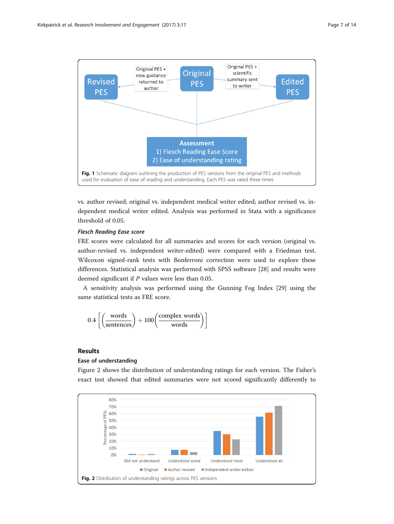<span id="page-6-0"></span>

vs. author revised; original vs. independent medical writer edited; author revised vs. independent medical writer edited. Analysis was performed in Stata with a significance threshold of 0.05.

## Flesch Reading Ease score

FRE scores were calculated for all summaries and scores for each version (original vs. author-revised vs. independent writer-edited) were compared with a Friedman test. Wilcoxon signed-rank tests with Bonferroni correction were used to explore these differences. Statistical analysis was performed with SPSS software [[28\]](#page-12-0) and results were deemed significant if P values were less than 0.05.

A sensitivity analysis was performed using the Gunning Fog Index [[29](#page-12-0)] using the same statistical tests as FRE score.

$$
0.4 \left[ \left( \frac{\text{words}}{\text{sentences}} \right) + 100 \left( \frac{\text{complex words}}{\text{words}} \right) \right]
$$

## Results

## Ease of understanding

Figure 2 shows the distribution of understanding ratings for each version. The Fisher's exact test showed that edited summaries were not scored significantly differently to

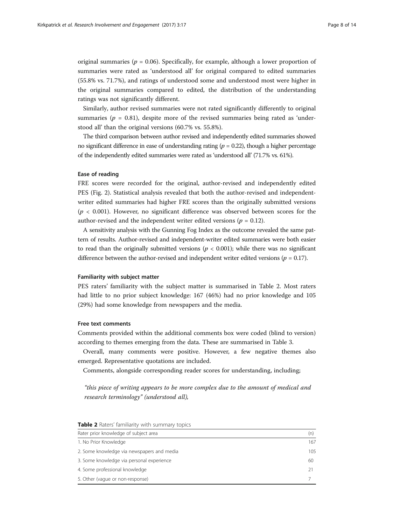original summaries ( $p = 0.06$ ). Specifically, for example, although a lower proportion of summaries were rated as 'understood all' for original compared to edited summaries (55.8% vs. 71.7%), and ratings of understood some and understood most were higher in the original summaries compared to edited, the distribution of the understanding ratings was not significantly different.

Similarly, author revised summaries were not rated significantly differently to original summaries ( $p = 0.81$ ), despite more of the revised summaries being rated as 'understood all' than the original versions (60.7% vs. 55.8%).

The third comparison between author revised and independently edited summaries showed no significant difference in ease of understanding rating ( $p = 0.22$ ), though a higher percentage of the independently edited summaries were rated as 'understood all' (71.7% vs. 61%).

### Ease of reading

FRE scores were recorded for the original, author-revised and independently edited PES (Fig. [2\)](#page-6-0). Statistical analysis revealed that both the author-revised and independentwriter edited summaries had higher FRE scores than the originally submitted versions  $(p < 0.001)$ . However, no significant difference was observed between scores for the author-revised and the independent writer edited versions ( $p = 0.12$ ).

A sensitivity analysis with the Gunning Fog Index as the outcome revealed the same pattern of results. Author-revised and independent-writer edited summaries were both easier to read than the originally submitted versions ( $p < 0.001$ ); while there was no significant difference between the author-revised and independent writer edited versions ( $p = 0.17$ ).

#### Familiarity with subject matter

PES raters' familiarity with the subject matter is summarised in Table 2. Most raters had little to no prior subject knowledge: 167 (46%) had no prior knowledge and 105 (29%) had some knowledge from newspapers and the media.

## Free text comments

Comments provided within the additional comments box were coded (blind to version) according to themes emerging from the data. These are summarised in Table [3.](#page-8-0)

Overall, many comments were positive. However, a few negative themes also emerged. Representative quotations are included.

Comments, alongside corresponding reader scores for understanding, including;

"this piece of writing appears to be more complex due to the amount of medical and research terminology" (understood all),

| Rater prior knowledge of subject area<br>(n)<br>1. No Prior Knowledge<br>167<br>105<br>2. Some knowledge via newspapers and media<br>3. Some knowledge via personal experience<br>60<br>4. Some professional knowledge<br>5. Other (vague or non-response) |  |
|------------------------------------------------------------------------------------------------------------------------------------------------------------------------------------------------------------------------------------------------------------|--|
|                                                                                                                                                                                                                                                            |  |
|                                                                                                                                                                                                                                                            |  |
|                                                                                                                                                                                                                                                            |  |
|                                                                                                                                                                                                                                                            |  |
|                                                                                                                                                                                                                                                            |  |
|                                                                                                                                                                                                                                                            |  |

| Table 2 Raters' familiarity with summary topics |  |  |  |
|-------------------------------------------------|--|--|--|
|-------------------------------------------------|--|--|--|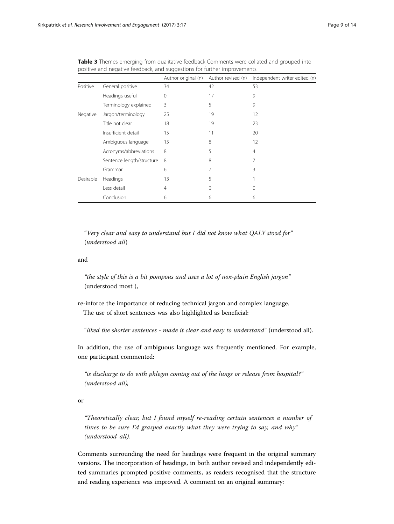|           |                           | Author original (n) | Author revised (n) | Independent writer edited (n) |
|-----------|---------------------------|---------------------|--------------------|-------------------------------|
| Positive  | General positive          | 34                  | 42                 | 53                            |
|           | Headings useful           | 0                   | 17                 | 9                             |
|           | Terminology explained     | 3                   | 5                  | 9                             |
| Negative  | Jargon/terminology        | 25                  | 19                 | 12                            |
|           | Title not clear           | 18                  | 19                 | 23                            |
|           | Insufficient detail       | 15                  | 11                 | 20                            |
|           | Ambiguous language        | 15                  | 8                  | 12                            |
|           | Acronyms/abbreviations    | 8                   | 5                  | $\overline{4}$                |
|           | Sentence length/structure | 8                   | 8                  | 7                             |
|           | Grammar                   | 6                   | 7                  | 3                             |
| Desirable | Headings                  | 13                  | 5                  |                               |
|           | Less detail               | 4                   | $\Omega$           | ∩                             |
|           | Conclusion                | 6                   | 6                  | 6                             |

<span id="page-8-0"></span>Table 3 Themes emerging from qualitative feedback Comments were collated and grouped into positive and negative feedback, and suggestions for further improvements

"Very clear and easy to understand but I did not know what QALY stood for" (understood all)

### and

"the style of this is a bit pompous and uses a lot of non-plain English jargon" (understood most ),

re-inforce the importance of reducing technical jargon and complex language. The use of short sentences was also highlighted as beneficial:

"liked the shorter sentences - made it clear and easy to understand" (understood all).

In addition, the use of ambiguous language was frequently mentioned. For example, one participant commented:

"is discharge to do with phlegm coming out of the lungs or release from hospital?" (understood all),

or

"Theoretically clear, but I found myself re-reading certain sentences a number of times to be sure I'd grasped exactly what they were trying to say, and why" (understood all).

Comments surrounding the need for headings were frequent in the original summary versions. The incorporation of headings, in both author revised and independently edited summaries prompted positive comments, as readers recognised that the structure and reading experience was improved. A comment on an original summary: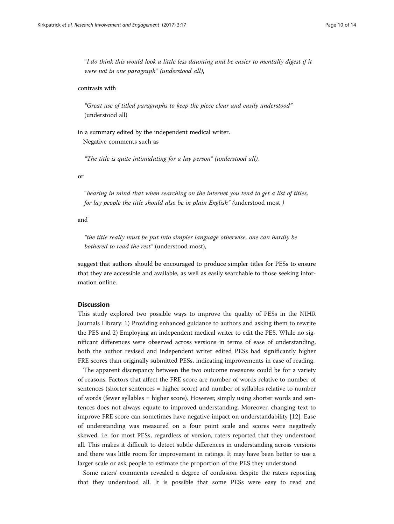"I do think this would look a little less daunting and be easier to mentally digest if it were not in one paragraph" (understood all),

contrasts with

"Great use of titled paragraphs to keep the piece clear and easily understood" (understood all)

in a summary edited by the independent medical writer. Negative comments such as

"The title is quite intimidating for a lay person" (understood all),

or

"bearing in mind that when searching on the internet you tend to get a list of titles, for lay people the title should also be in plain English" (understood most )

and

"the title really must be put into simpler language otherwise, one can hardly be bothered to read the rest" (understood most),

suggest that authors should be encouraged to produce simpler titles for PESs to ensure that they are accessible and available, as well as easily searchable to those seeking information online.

## **Discussion**

This study explored two possible ways to improve the quality of PESs in the NIHR Journals Library: 1) Providing enhanced guidance to authors and asking them to rewrite the PES and 2) Employing an independent medical writer to edit the PES. While no significant differences were observed across versions in terms of ease of understanding, both the author revised and independent writer edited PESs had significantly higher FRE scores than originally submitted PESs, indicating improvements in ease of reading.

The apparent discrepancy between the two outcome measures could be for a variety of reasons. Factors that affect the FRE score are number of words relative to number of sentences (shorter sentences = higher score) and number of syllables relative to number of words (fewer syllables = higher score). However, simply using shorter words and sentences does not always equate to improved understanding. Moreover, changing text to improve FRE score can sometimes have negative impact on understandability [\[12](#page-12-0)]. Ease of understanding was measured on a four point scale and scores were negatively skewed, i.e. for most PESs, regardless of version, raters reported that they understood all. This makes it difficult to detect subtle differences in understanding across versions and there was little room for improvement in ratings. It may have been better to use a larger scale or ask people to estimate the proportion of the PES they understood.

Some raters' comments revealed a degree of confusion despite the raters reporting that they understood all. It is possible that some PESs were easy to read and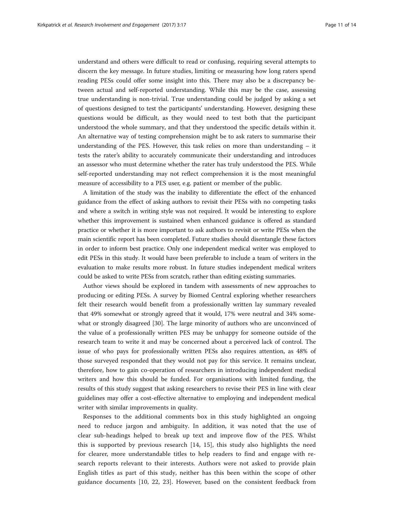understand and others were difficult to read or confusing, requiring several attempts to discern the key message. In future studies, limiting or measuring how long raters spend reading PESs could offer some insight into this. There may also be a discrepancy between actual and self-reported understanding. While this may be the case, assessing true understanding is non-trivial. True understanding could be judged by asking a set of questions designed to test the participants' understanding. However, designing these questions would be difficult, as they would need to test both that the participant understood the whole summary, and that they understood the specific details within it. An alternative way of testing comprehension might be to ask raters to summarise their understanding of the PES. However, this task relies on more than understanding  $-$  it tests the rater's ability to accurately communicate their understanding and introduces an assessor who must determine whether the rater has truly understood the PES. While self-reported understanding may not reflect comprehension it is the most meaningful measure of accessibility to a PES user, e.g. patient or member of the public.

A limitation of the study was the inability to differentiate the effect of the enhanced guidance from the effect of asking authors to revisit their PESs with no competing tasks and where a switch in writing style was not required. It would be interesting to explore whether this improvement is sustained when enhanced guidance is offered as standard practice or whether it is more important to ask authors to revisit or write PESs when the main scientific report has been completed. Future studies should disentangle these factors in order to inform best practice. Only one independent medical writer was employed to edit PESs in this study. It would have been preferable to include a team of writers in the evaluation to make results more robust. In future studies independent medical writers could be asked to write PESs from scratch, rather than editing existing summaries.

Author views should be explored in tandem with assessments of new approaches to producing or editing PESs. A survey by Biomed Central exploring whether researchers felt their research would benefit from a professionally written lay summary revealed that 49% somewhat or strongly agreed that it would, 17% were neutral and 34% somewhat or strongly disagreed [[30](#page-13-0)]. The large minority of authors who are unconvinced of the value of a professionally written PES may be unhappy for someone outside of the research team to write it and may be concerned about a perceived lack of control. The issue of who pays for professionally written PESs also requires attention, as 48% of those surveyed responded that they would not pay for this service. It remains unclear, therefore, how to gain co-operation of researchers in introducing independent medical writers and how this should be funded. For organisations with limited funding, the results of this study suggest that asking researchers to revise their PES in line with clear guidelines may offer a cost-effective alternative to employing and independent medical writer with similar improvements in quality.

Responses to the additional comments box in this study highlighted an ongoing need to reduce jargon and ambiguity. In addition, it was noted that the use of clear sub-headings helped to break up text and improve flow of the PES. Whilst this is supported by previous research [[14](#page-12-0), [15\]](#page-12-0), this study also highlights the need for clearer, more understandable titles to help readers to find and engage with research reports relevant to their interests. Authors were not asked to provide plain English titles as part of this study, neither has this been within the scope of other guidance documents [[10, 22, 23](#page-12-0)]. However, based on the consistent feedback from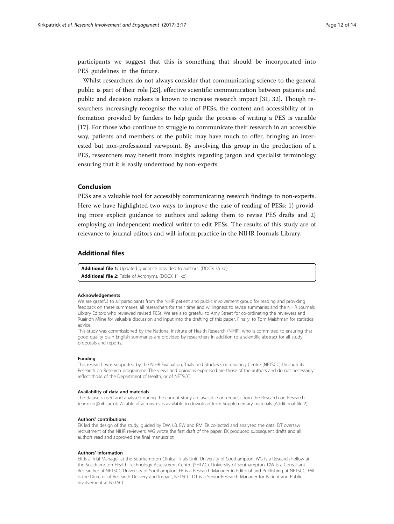<span id="page-11-0"></span>participants we suggest that this is something that should be incorporated into PES guidelines in the future.

Whilst researchers do not always consider that communicating science to the general public is part of their role [[23](#page-12-0)], effective scientific communication between patients and public and decision makers is known to increase research impact [\[31, 32](#page-13-0)]. Though researchers increasingly recognise the value of PESs, the content and accessibility of information provided by funders to help guide the process of writing a PES is variable [[17\]](#page-12-0). For those who continue to struggle to communicate their research in an accessible way, patients and members of the public may have much to offer, bringing an interested but non-professional viewpoint. By involving this group in the production of a PES, researchers may benefit from insights regarding jargon and specialist terminology ensuring that it is easily understood by non-experts.

## Conclusion

PESs are a valuable tool for accessibly communicating research findings to non-experts. Here we have highlighted two ways to improve the ease of reading of PESs: 1) providing more explicit guidance to authors and asking them to revise PES drafts and 2) employing an independent medical writer to edit PESs. The results of this study are of relevance to journal editors and will inform practice in the NIHR Journals Library.

## Additional files

[Additional file 1:](dx.doi.org/10.1186/s40900-017-0064-0) Updated guidance provided to authors. (DOCX 35 kb) [Additional file 2:](dx.doi.org/10.1186/s40900-017-0064-0) Table of Acronyms. (DOCX 11 kb)

#### Acknowledgements

We are grateful to all participants from the NIHR patient and public involvement group for reading and providing feedback on these summaries; all researchers for their time and willingness to revise summaries and the NIHR Journals Library Editors who reviewed revised PESs. We are also grateful to Amy Street for co-ordinating the reviewers and Ruairidh Milne for valuable discussion and input into the drafting of this paper. Finally, to Tom Maishman for statistical advice.

This study was commissioned by the National Institute of Health Research (NIHR), who is committed to ensuring that good quality plain English summaries are provided by researchers in addition to a scientific abstract for all study proposals and reports.

#### Funding

This research was supported by the NIHR Evaluation, Trials and Studies Coordinating Centre (NETSCC) through its Research on Research programme. The views and opinions expressed are those of the authors and do not necessarily reflect those of the Department of Health, or of NETSCC.

#### Availability of data and materials

The datasets used and analysed during the current study are available on request from the Research on Research team: ror@nihr.ac.uk. A table of acronyms is available to download from Supplementary materials (Additional file 2).

#### Authors' contributions

EK led the design of the study, guided by DW, LB, EW and RM. EK collected and analysed the data. DT oversaw recruitment of the NIHR reviewers. WG wrote the first draft of the paper. EK produced subsequent drafts and all authors read and approved the final manuscript.

#### Authors' information

EK is a Trial Manager at the Southampton Clinical Trials Unit, University of Southampton. WG is a Research Fellow at the Southampton Health Technology Assessment Centre (SHTAC), University of Southampton. DW is a Consultant Researcher at NETSCC University of Southampton. EB is a Research Manager in Editorial and Publishing at NETSCC. EW is the Director of Research Delivery and Impact, NETSCC. DT is a Senior Research Manager for Patient and Public Involvement at NETSCC.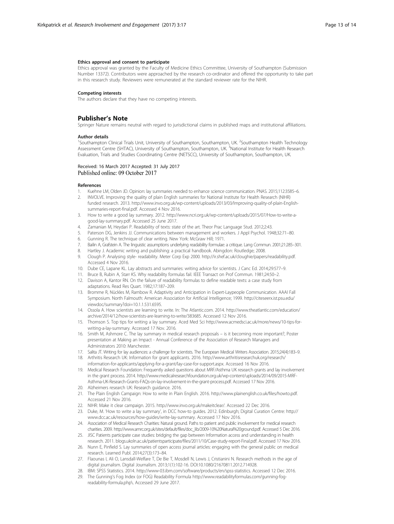#### <span id="page-12-0"></span>Ethics approval and consent to participate

Ethics approval was granted by the Faculty of Medicine Ethics Committee, University of Southampton (Submission Number 13372). Contributors were approached by the research co-ordinator and offered the opportunity to take part in this research study. Reviewers were remunerated at the standard reviewer rate for the NIHR.

#### Competing interests

The authors declare that they have no competing interests.

## Publisher's Note

Springer Nature remains neutral with regard to jurisdictional claims in published maps and institutional affiliations.

#### Author details

<sup>1</sup>Southampton Clinical Trials Unit, University of Southampton, Southampton, UK.<sup>2</sup>Southampton Health Technology Assessment Centre (SHTAC), University of Southampton, Southampton, UK. <sup>3</sup>National Institute for Health Research Evaluation, Trials and Studies Coordinating Centre (NETSCC), University of Southampton, Southampton, UK.

#### Received: 16 March 2017 Accepted: 31 July 2017 Published online: 09 October 2017

#### References

- Kuehne LM, Olden JD. Opinion: lay summaries needed to enhance science communication. PNAS. 2015;112:3585-6.
- 2. INVOLVE. Improving the quality of plain English summaries for National Institute for Health Research (NIHR) funded research. 2013. [http://www.invo.org.uk/wp-content/uploads/2013/03/Improving-quality-of-plain-English](http://www.invo.org.uk/wp-content/uploads/2013/03/Improving-quality-of-plain-English-summaries-report-final.pdf)[summaries-report-final.pdf](http://www.invo.org.uk/wp-content/uploads/2013/03/Improving-quality-of-plain-English-summaries-report-final.pdf). Accessed 4 Nov 2016.
- 3. How to write a good lay summary. 2012. [http://www.ncri.org.uk/wp-content/uploads/2015/07/How-to-write-a](http://www.ncri.org.uk/wp-content/uploads/2015/07/How-to-write-a-good-lay-summary.pdf)[good-lay-summary.pdf.](http://www.ncri.org.uk/wp-content/uploads/2015/07/How-to-write-a-good-lay-summary.pdf) Accessed 25 June 2017.
- 4. Zamanian M, Heydari P. Readability of texts: state of the art. Theor Prac Language Stud. 2012;2:43.
- 5. Paterson DG, Jenkins JJ. Communications between management and workers. J Appl Psychol. 1948;32:71–80.
- 6. Gunning R. The technique of clear writing. New York: McGraw Hill; 1971.
- 7. Bailin A, Grafstein A. The linguistic assumptions underlying readability formulae: a critique. Lang Commun. 2001;21:285–301.
- 8. Hartley J. Academic writing and publishing: a practical handbook. Abingdon: Routledge; 2008.
- 9. Clough P. Analysing style- readability. Meter Corp Exp 2000. [http://ir.shef.ac.uk/cloughie/papers/readability.pdf.](http://ir.shef.ac.uk/cloughie/papers/readability.pdf) Accessed 4 Nov 2016.
- 10. Dube CE, Lapane KL. Lay abstracts and summaries: writing advice for scientists. J Canc Ed. 2014;29:577–9.
- 11. Bruce B, Rubin A, Starr KS. Why readability formulas fail. IEEE Transact on Prof Commun. 1981;24:50–2.
- 12. Davison A, Kantor RN. On the failure of readability formulas to define readable texts: a case study from adaptations. Read Res Quart. 1982;17:187–209.
- 13. Bromme R, Nückles M, Rambow R. Adaptivity and Anticipation in Expert-Laypeople Communication. AAAI Fall Symposium. North Falmouth: American Association for Artificial Intelligence; 1999. [http://citeseerx.ist.psu.edu/](http://citeseerx.ist.psu.edu/viewdoc/summary?doi=10.1.1.531.6595) [viewdoc/summary?doi=10.1.1.531.6595.](http://citeseerx.ist.psu.edu/viewdoc/summary?doi=10.1.1.531.6595)
- 14. Ossola A. How scientists are learning to write. In: The [Atlantic.com.](http://atlantic.com) 2014. [http://www.theatlantic.com/education/](http://www.theatlantic.com/education/archive/2014/12/how-scientists-are-learning-to-write/383685) [archive/2014/12/how-scientists-are-learning-to-write/383685.](http://www.theatlantic.com/education/archive/2014/12/how-scientists-are-learning-to-write/383685) Accessed 12 Nov 2016.
- 15. Thomson S. Top tips for writing a lay summary. Aced Med Sci [http://www.acmedsci.ac.uk/more/news/10-tips-for](http://www.acmedsci.ac.uk/more/news/10-tips-for-writing-a-lay-summary)[writing-a-lay-summary](http://www.acmedsci.ac.uk/more/news/10-tips-for-writing-a-lay-summary). Accessed 17 Nov. 2016.
- 16. Smith M, Ashmore C. The lay summary in medical research proposals is it becoming more important?, Poster presentation at Making an Impact - Annual Conference of the Association of Research Managers and Administrators 2010: Manchester.
- 17. Salita JT. Writing for lay audiences: a challenge for scientists. The European Medical Writers Association. 2015;24(4):183–9.
- 18. Arthritis Research UK: Information for grant applicants. 2016. [http://www.arthritisresearchuk.org/research/](http://www.arthritisresearchuk.org/research/information-for-applicants/applying-for-a-grant/lay-case-for-support.aspx) [information-for-applicants/applying-for-a-grant/lay-case-for-support.aspx.](http://www.arthritisresearchuk.org/research/information-for-applicants/applying-for-a-grant/lay-case-for-support.aspx) Accessed 16 Nov 2016.
- 19. Medical Research Foundation: Frequently asked questions about MRF/Asthma UK research grants and lay involvement in the grant process. 2014. [http://www.medicalresearchfoundation.org.uk/wp-content/uploads/2014/09/2015-MRF-](http://www.medicalresearchfoundation.org.uk/wp-content/uploads/2014/09/2015-MRF-Asthma-UK-Research-Grants-FAQs-on-lay-involvement-in-the-grant-process.pdf)[Asthma-UK-Research-Grants-FAQs-on-lay-involvement-in-the-grant-process.pdf](http://www.medicalresearchfoundation.org.uk/wp-content/uploads/2014/09/2015-MRF-Asthma-UK-Research-Grants-FAQs-on-lay-involvement-in-the-grant-process.pdf). Accessed 17 Nov 2016.
- 20. Alzheimers research UK: Research guidance. 2016.
- 21. The Plain English Campaign: How to write in Plain English. 2016.<http://www.plainenglish.co.uk/files/howto.pdf>. Accessed 21 Nov 2016.
- 22. NIHR: Make it clear campaign. 2015. [http://www.invo.org.uk/makeitclear/.](http://www.invo.org.uk/makeitclear/) Accessed 22 Dec 2016.
- 23. Duke, M. 'How to write a lay summary', in DCC how-to guides. 2012. Edinburgh; Digital Curation Centre: [http://](http://www.dcc.ac.uk/resources/how-guides/write-lay-summary) [www.dcc.ac.uk/resources/how-guides/write-lay-summary.](http://www.dcc.ac.uk/resources/how-guides/write-lay-summary) Accessed 17 Nov 2016.
- 24. Association of Medical Research Charities: Natural ground. Paths to patient and public involvement for medical research charities. 2009. [http://www.amrc.org.uk/sites/default/files/doc\\_lib/2009-10%20Natural%20ground.pdf.](http://www.amrc.org.uk/sites/default/files/doc_lib/2009-10%20Natural%20ground.pdf) Accessed 5 Dec 2016.
- 25. JISC Patients participate case studies: bridging the gap between Information access and understanding in health research. 2011. [blogs.ukoln.ac.uk/patientsparticipate/files/2011/10/Case-study-report-Final.pdf.](http://blogs.ukoln.ac.uk/patientsparticipate/files/2011/10/Case-study-report-Final.pdf) Accessed 17 Nov 2016.
- 26. Nunn E, Pinfield S. Lay summaries of open access journal articles: engaging with the general public on medical research. Learned Publ. 2014;27(3):173–84.
- 27. Flaounas I, Ali O, Lansdall-Welfare T, De Bie T, Mosdell N, Lewis J, Cristianini N. Research methods in the age of digital journalism. Digital Journalism. 2013;1(1):102-16. DOI[:10.1080/21670811.2012.714928.](http://dx.doi.org/10.1080/21670811.2012.714928)
- 28. IBM: SPSS Statistics. 2014. [http://www-03.ibm.com/software/products/en/spss-statistics.](http://www-03.ibm.com/software/products/en/spss-statistics) Accessed 12 Dec 2016.
- 29. The Gunning's Fog Index (or FOG) Readability Formula [http://www.readabilityformulas.com/gunning-fog](http://www.readabilityformulas.com/gunning-fog-readability-formula.php)[readability-formula.php\.](http://www.readabilityformulas.com/gunning-fog-readability-formula.php) Accessed 29 June 2017.